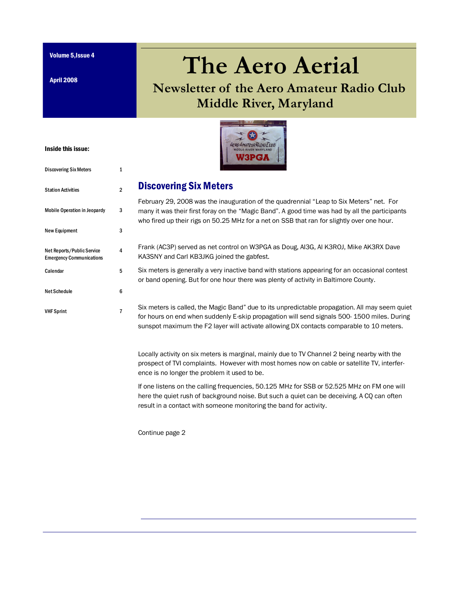Volume 5,Issue 4

April 2008

Inside this issue:

Discovering Six Meters 1

Station Activities 2

Mobile Operation in Jeopardy 3

New Equipment 3

Calendar 5

Net Schedule 6

VHF Sprint 7

4

Net Reports/Public Service Emergency Communications

# **The Aero Aerial**

# **Newsletter of the Aero Amateur Radio Club Middle River, Maryland**



#### Discovering Six Meters

February 29, 2008 was the inauguration of the quadrennial "Leap to Six Meters" net. For many it was their first foray on the "Magic Band". A good time was had by all the participants who fired up their rigs on 50.25 MHz for a net on SSB that ran for slightly over one hour.

- Frank (AC3P) served as net control on W3PGA as Doug, AI3G, Al K3ROJ, Mike AK3RX Dave KA3SNY and Carl KB3JKG joined the gabfest.
- Six meters is generally a very inactive band with stations appearing for an occasional contest or band opening. But for one hour there was plenty of activity in Baltimore County.

Six meters is called, the Magic Band" due to its unpredictable propagation. All may seem quiet for hours on end when suddenly E-skip propagation will send signals 500- 1500 miles. During sunspot maximum the F2 layer will activate allowing DX contacts comparable to 10 meters.

Locally activity on six meters is marginal, mainly due to TV Channel 2 being nearby with the prospect of TVI complaints. However with most homes now on cable or satellite TV, interference is no longer the problem it used to be.

If one listens on the calling frequencies, 50.125 MHz for SSB or 52.525 MHz on FM one will here the quiet rush of background noise. But such a quiet can be deceiving. A CQ can often result in a contact with someone monitoring the band for activity.

Continue page 2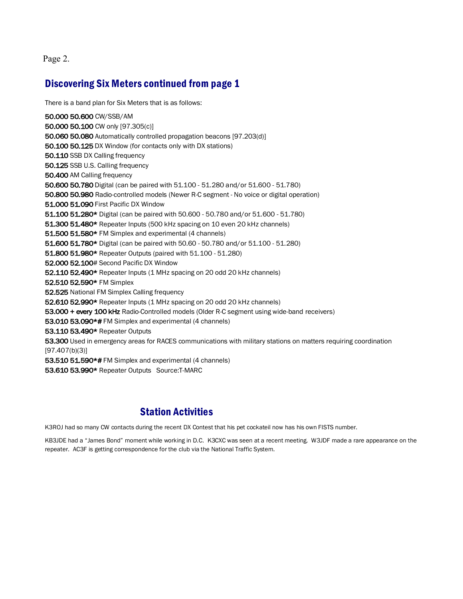Page 2.

#### Discovering Six Meters continued from page 1

There is a band plan for Six Meters that is as follows:

50.000 50.600 CW/SSB/AM 50.000 50.100 CW only [97.305(c)] 50.060 50.080 Automatically controlled propagation beacons [97.203(d)] 50.100 50.125 DX Window (for contacts only with DX stations) 50.110 SSB DX Calling frequency 50.125 SSB U.S. Calling frequency 50.400 AM Calling frequency 50.600 50.780 Digital (can be paired with 51.100 - 51.280 and/or 51.600 - 51.780) 50.800 50.980 Radio-controlled models (Newer R-C segment - No voice or digital operation) 51.000 51.090 First Pacific DX Window 51.100 51.280\* Digital (can be paired with 50.600 - 50.780 and/or 51.600 - 51.780) 51.300 51.480\* Repeater Inputs (500 kHz spacing on 10 even 20 kHz channels) 51.500 51.580\* FM Simplex and experimental (4 channels) 51.600 51.780\* Digital (can be paired with 50.60 - 50.780 and/or 51.100 - 51.280) 51.800 51.980\* Repeater Outputs (paired with 51.100 - 51.280) 52.000 52.100# Second Pacific DX Window 52.110 52.490\* Repeater Inputs (1 MHz spacing on 20 odd 20 kHz channels) 52.510 52.590\* FM Simplex 52.525 National FM Simplex Calling frequency 52.610 52.990\* Repeater Inputs (1 MHz spacing on 20 odd 20 kHz channels) 53.000 + every 100 kHz Radio-Controlled models (Older R-C segment using wide-band receivers) 53.010 53.090\*# FM Simplex and experimental (4 channels) 53.110 53.490\* Repeater Outputs 53.300 Used in emergency areas for RACES communications with military stations on matters requiring coordination [97.407(b)(3)] 53.510 51.590\*# FM Simplex and experimental (4 channels) 53.610 53.990\* Repeater Outputs Source:T-MARC

#### Station Activities

K3ROJ had so many CW contacts during the recent DX Contest that his pet cockateil now has his own FISTS number.

KB3JDE had a "James Bond" moment while working in D.C. K3CXC was seen at a recent meeting. W3JDF made a rare appearance on the repeater. AC3F is getting correspondence for the club via the National Traffic System.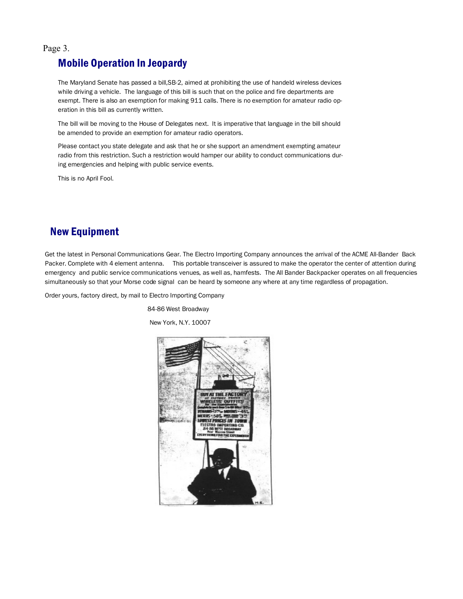Page 3.

#### Mobile Operation In Jeopardy

The Maryland Senate has passed a bill,SB-2, aimed at prohibiting the use of handeld wireless devices while driving a vehicle. The language of this bill is such that on the police and fire departments are exempt. There is also an exemption for making 911 calls. There is no exemption for amateur radio operation in this bill as currently written.

The bill will be moving to the House of Delegates next. It is imperative that language in the bill should be amended to provide an exemption for amateur radio operators.

Please contact you state delegate and ask that he or she support an amendment exempting amateur radio from this restriction. Such a restriction would hamper our ability to conduct communications during emergencies and helping with public service events.

This is no April Fool.

### New Equipment

Get the latest in Personal Communications Gear. The Electro Importing Company announces the arrival of the ACME All-Bander Back Packer. Complete with 4 element antenna. This portable transceiver is assured to make the operator the center of attention during emergency and public service communications venues, as well as, hamfests. The All Bander Backpacker operates on all frequencies simultaneously so that your Morse code signal can be heard by someone any where at any time regardless of propagation.

Order yours, factory direct, by mail to Electro Importing Company

84-86 West Broadway

New York, N.Y. 10007

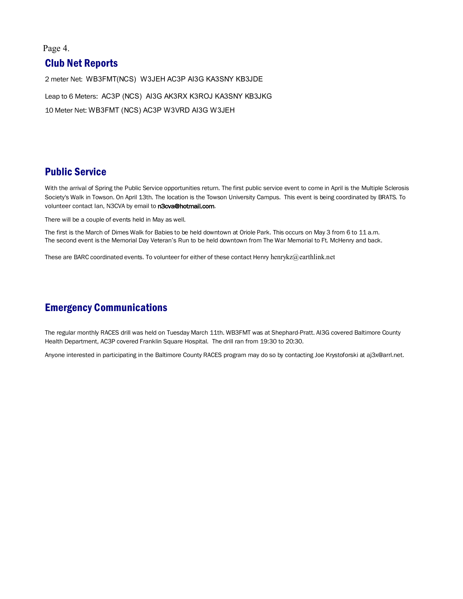#### Page 4.

#### Club Net Reports

2 meter Net: WB3FMT(NCS) W3JEH AC3P AI3G KA3SNY KB3JDE Leap to 6 Meters: AC3P (NCS) AI3G AK3RX K3ROJ KA3SNY KB3JKG 10 Meter Net: WB3FMT (NCS) AC3P W3VRD AI3G W3JEH

#### Public Service

With the arrival of Spring the Public Service opportunities return. The first public service event to come in April is the Multiple Sclerosis Society's Walk in Towson. On April 13th. The location is the Towson University Campus. This event is being coordinated by BRATS. To volunteer contact Ian, N3CVA by email to n3cva@hotmail.com.

There will be a couple of events held in May as well.

The first is the March of Dimes Walk for Babies to be held downtown at Oriole Park. This occurs on May 3 from 6 to 11 a.m. The second event is the Memorial Day Veteran's Run to be held downtown from The War Memorial to Ft. McHenry and back.

These are BARC coordinated events. To volunteer for either of these contact Henry henrykz@earthlink.net

#### Emergency Communications

The regular monthly RACES drill was held on Tuesday March 11th. WB3FMT was at Shephard-Pratt. AI3G covered Baltimore County Health Department, AC3P covered Franklin Square Hospital. The drill ran from 19:30 to 20:30.

Anyone interested in participating in the Baltimore County RACES program may do so by contacting Joe Krystoforski at aj3x@arrl.net.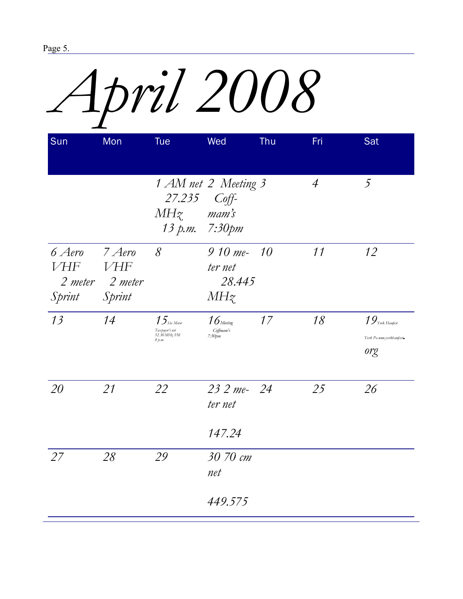# *April 2008*

| Sun                            | Mon                                                 | <b>Tue</b>                                                 | Wed                                   | <b>Thu</b> | Fri            | Sat                                                  |
|--------------------------------|-----------------------------------------------------|------------------------------------------------------------|---------------------------------------|------------|----------------|------------------------------------------------------|
|                                |                                                     | 27.235 Coff-<br>$MHz$ mam's<br>13 р.т. 7:30рт              | 1 AM net 2 Meeting 3                  |            | $\overline{4}$ | $\overline{5}$                                       |
| 6 Aero<br><b>VHF</b><br>Sprint | $7$ Aero<br><b>VHF</b><br>2 meter 2 meter<br>Sprint | 8                                                          | $910 me-$<br>ter net<br>28.445<br>MHz | 10         | 11             | 12                                                   |
| 13                             | 14                                                  | $15$ Six Meter<br>Taxpayer's net<br>52.30 MHz FM<br>8 p.m. | $16$ Meeting<br>Coffmam's<br>7:30pm   | 17         | 18             | $19$ York Hamfest<br>York Pa unw.yorkhamfest.<br>org |
| 20                             | 21                                                  | 22                                                         | 23 2 me- 24<br>ter net<br>147.24      |            | 25             | 26                                                   |
| 27                             | 28                                                  | 29                                                         | 30 70 cm<br>net<br>449.575            |            |                |                                                      |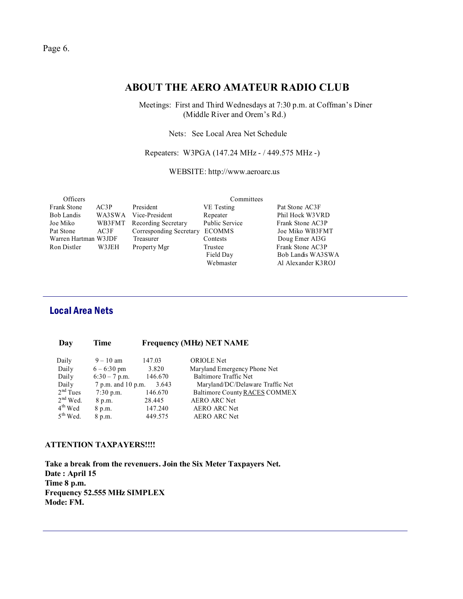#### **ABOUT THE AERO AMATEUR RADIO CLUB**

 Meetings: First and Third Wednesdays at 7:30 p.m. at Coffman's Diner (Middle River and Orem's Rd.)

Nets: See Local Area Net Schedule

Repeaters: W3PGA (147.24 MHz - / 449.575 MHz -)

WEBSITE: http://www.aeroarc.us

| <b>Officers</b>      |        |                         | Committees            |                    |
|----------------------|--------|-------------------------|-----------------------|--------------------|
| <b>Frank Stone</b>   | AC3P   | President               | VE Testing            | Pat Stone AC3F     |
| <b>Bob Landis</b>    | WA3SWA | Vice-President          | Repeater              | Phil Hock W3VRD    |
| Joe Miko             | WB3FMT | Recording Secretary     | <b>Public Service</b> | Frank Stone AC3P   |
| Pat Stone            | AC3F   | Corresponding Secretary | <b>ECOMMS</b>         | Joe Miko WB3FMT    |
| Warren Hartman W3JDF |        | Treasurer               | Contests              | Doug Emer AI3G     |
| Ron Distler          | W3JEH  | Property Mgr            | Trustee               | Frank Stone AC3P   |
|                      |        |                         | Field Day             | Bob Landis WA3SWA  |
|                      |        |                         | Webmaster             | Al Alexander K3ROJ |

#### Local Area Nets

| Day        | Time                  | <b>Frequency (MHz) NET NAME</b> |                                  |  |
|------------|-----------------------|---------------------------------|----------------------------------|--|
| Daily      | $9 - 10$ am           | 147.03                          | <b>ORIOLE</b> Net                |  |
| Daily      | $6 - 6:30 \text{ pm}$ | 3.820                           | Maryland Emergency Phone Net     |  |
| Daily      | $6:30 - 7$ p.m.       | 146.670                         | Baltimore Traffic Net            |  |
| Daily      | 7 p.m. and 10 p.m.    | 3.643                           | Maryland/DC/Delaware Traffic Net |  |
| $2nd$ Tues | $7:30$ p.m.           | 146.670                         | Baltimore County RACES COMMEX    |  |
| $2nd$ Wed. | 8 p.m.                | 28.445                          | <b>AERO ARC Net</b>              |  |
| $4th$ Wed  | 8 p.m.                | 147.240                         | <b>AERO ARC Net</b>              |  |
| $5th$ Wed. | 8 p.m.                | 449.575                         | <b>AERO ARC Net</b>              |  |

#### **ATTENTION TAXPAYERS!!!!**

**Take a break from the revenuers. Join the Six Meter Taxpayers Net. Date : April 15 Time 8 p.m. Frequency 52.555 MHz SIMPLEX Mode: FM.**